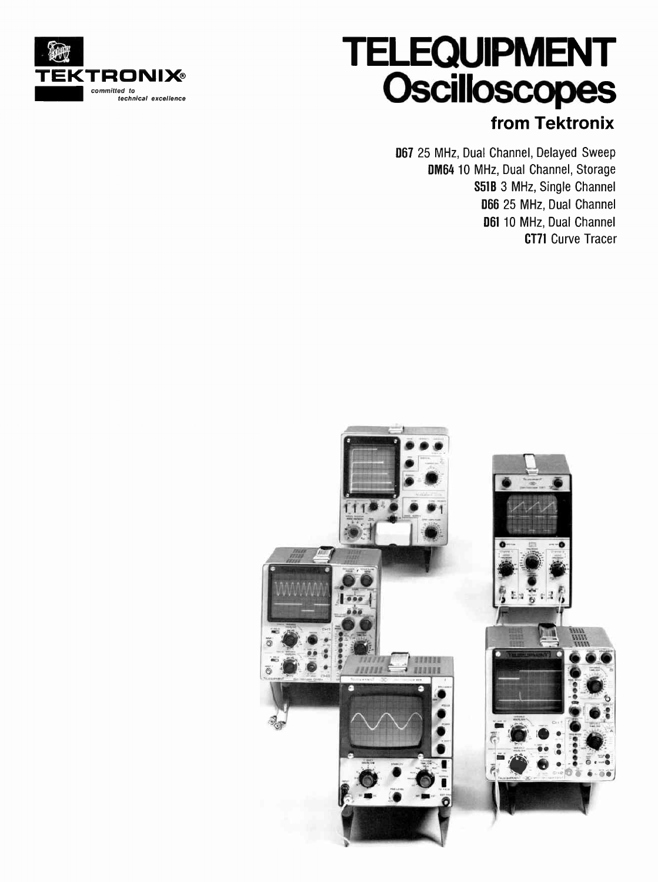

# TELEQUIPMENT **Oscilloscopes** from Tektronix

067 25 MHz, Dual Channel, Delayed Sweep DM64 10 MHz, Dual Channel, Storage S51B 3 MHz, Single Channel 066 25 MHz, Dual Channel 061 10 MHz, Dual Channel CT71 Curve Tracer

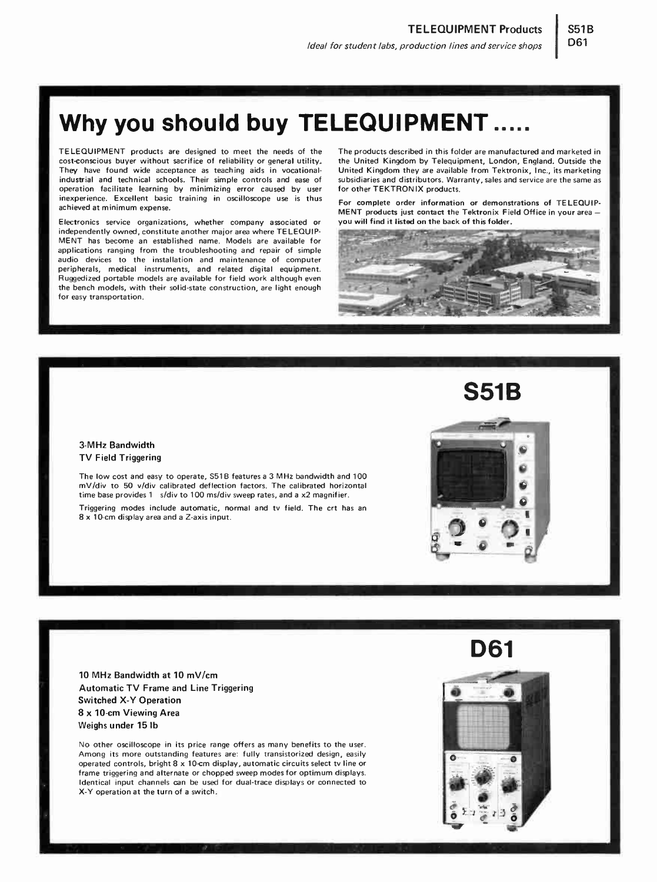## Why you should buy TELEQUIPMENT .....

TELEQUIPMENT products are designed to meet the needs of the cost-conscious buyer without sacrifice of reliability or general utility. They have found wide acceptance as teaching aids in vocationalindustrial and technical schools. Their simple controls and ease of operation facilitate learning by minimizing error caused by user inexperience. Excellent basic training in oscilloscope use is thus achieved at minimum expense.

Electronics service organizations, whether company associated or independently owned, constitute another major area where TELEQUIP-MENT has become an established name. Models are available for applications ranging from the troubleshooting and repair of simple audio devices to the installation and maintenance of computer peripherals, medical instruments, and related digital equipment. Ruggedized portable models are available for field work although even the bench models, with their solid-state construction, are light enough for easy transportation.

The products described in this folder are manufactured and marketed in the United Kingdom by Telequipment, London, England. Outside the United Kingdom they are available from Tektronix, Inc., its marketing subsidiaries and distributors. Warranty, sales and service are the same as for other TEKTRONIX products.

061

For complete order information or demonstrations of TELEQUIP-MENT products just contact the Tektronix Field Office in your area you will find it listed on the back of this folder.



### 3-MHz Bandwidth TV Field Triggering

The low cost and easy to operate, S51B features a 3 MHz bandwidth and 100 mV/div to 50 v/div calibrated deflection factors. The calibrated horizontal time base provides 1 s/div to 100 ms/div sweep rates, and a x2 magnifier.

Triggering modes include automatic, normal and tv field. The crt has an 8 x 10-cm display area and a Z-axis input.

10 MHz Bandwidth at 10 mV/cm Automatic TV Frame and Line Triggering Switched X-Y Operation 8 x 10-cm Viewing Area Weighs under 15 lb

No other oscilloscope in its price range offers as many benefits to the user. Among its more outstanding features are: fully transistorized design, easily operated controls, bright 8 x 10-cm display, automatic circuits select tv line or frame triggering and alternate or chopped sweep modes for optimum displays. Identical input channels can be used for dual-trace displays or connected to -Y operation at the turn of a switch.



S51B

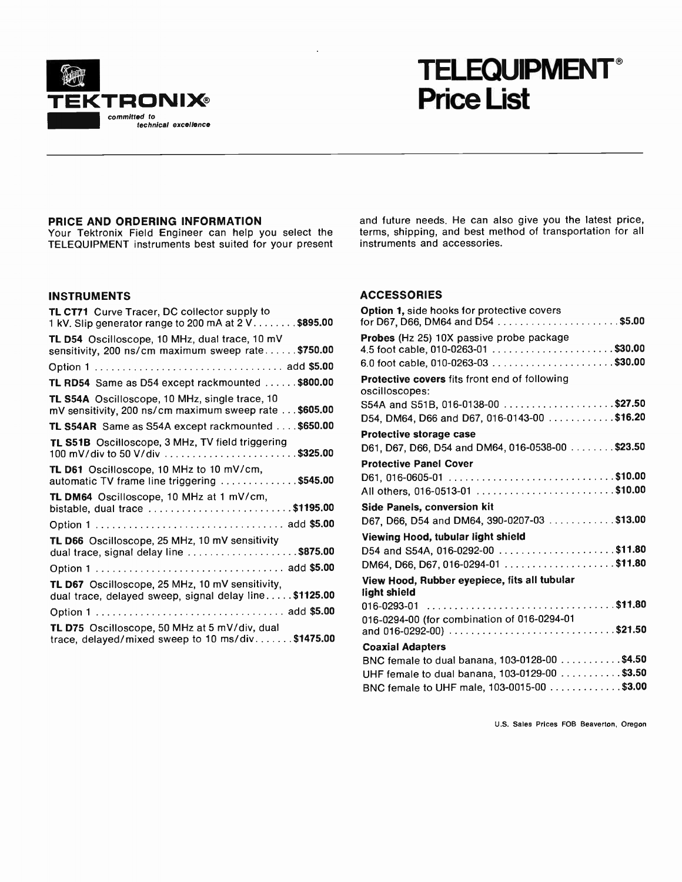

## TELEQUIPMENT Price List

## PRICE AND ORDERING INFORMATION

Your Tektronix Field Engineer can help you select the TELEQUIPMENT instruments best suited for your present

## INSTRUMENTS

| TL CT71 Curve Tracer, DC collector supply to<br>1 kV. Slip generator range to 200 mA at 2 V. \$895.00            |
|------------------------------------------------------------------------------------------------------------------|
| TL D54 Oscilloscope, 10 MHz, dual trace, 10 mV<br>sensitivity, 200 ns/cm maximum sweep rate\$750.00              |
|                                                                                                                  |
| TL RD54 Same as D54 except rackmounted \$800.00                                                                  |
| <b>TL S54A</b> Oscilloscope, 10 MHz, single trace, 10<br>mV sensitivity, 200 ns/cm maximum sweep rate \$605.00   |
| TL S54AR Same as S54A except rackmounted \$650.00                                                                |
| TL S51B Oscilloscope, 3 MHz, TV field triggering<br>100 mV/div to 50 V/div \$325.00                              |
| TL D61 Oscilloscope, 10 MHz to 10 mV/cm,<br>automatic TV frame line triggering \$545.00                          |
| TL DM64 Oscilloscope, 10 MHz at 1 mV/cm,<br>bistable, dual trace \$1195.00                                       |
|                                                                                                                  |
| TL D66 Oscilloscope, 25 MHz, 10 mV sensitivity<br>dual trace, signal delay line \$875.00                         |
|                                                                                                                  |
| <b>TL D67</b> Oscilloscope, 25 MHz, 10 mV sensitivity,<br>dual trace, delayed sweep, signal delay line \$1125.00 |
|                                                                                                                  |
| TL D75 Oscilloscope, 50 MHz at 5 mV/div, dual<br>trace, delayed/mixed sweep to 10 ms/div\$1475.00                |

and future needs. He can also give you the latest price, terms, shipping, and best method of transportation for all instruments and accessories.

### ACCESSORIES

| <b>Option 1, side hooks for protective covers</b>                                                            |
|--------------------------------------------------------------------------------------------------------------|
| Probes (Hz 25) 10X passive probe package                                                                     |
| <b>Protective covers</b> fits front end of following<br>oscilloscopes:<br>S54A and S51B, 016-0138-00 \$27.50 |
| D54, DM64, D66 and D67, 016-0143-00 \$16.20                                                                  |
| Protective storage case                                                                                      |
| D61, D67, D66, D54 and DM64, 016-0538-00 \$23.50                                                             |
| <b>Protective Panel Cover</b>                                                                                |
| D61, 016-0605-01 \$10.00                                                                                     |
|                                                                                                              |
| Side Panels, conversion kit                                                                                  |
|                                                                                                              |
| D67, D66, D54 and DM64, 390-0207-03 \$13.00                                                                  |
| Viewing Hood, tubular light shield                                                                           |
| D54 and S54A, 016-0292-00 \$11.80                                                                            |
|                                                                                                              |
| View Hood, Rubber eyepiece, fits all tubular<br>light shield                                                 |
| 016-0293-01                                                                                                  |
| 016-0294-00 (for combination of 016-0294-01<br>and 016-0292-00) \$21.50                                      |
| <b>Coaxial Adapters</b>                                                                                      |
| BNC female to dual banana, 103-0128-00 \$4.50                                                                |
| UHF female to dual banana, 103-0129-00 \$3.50<br>BNC female to UHF male, 103-0015-00 \$3.00                  |

U.S. Sales Prices FOB Beaverton, Oregon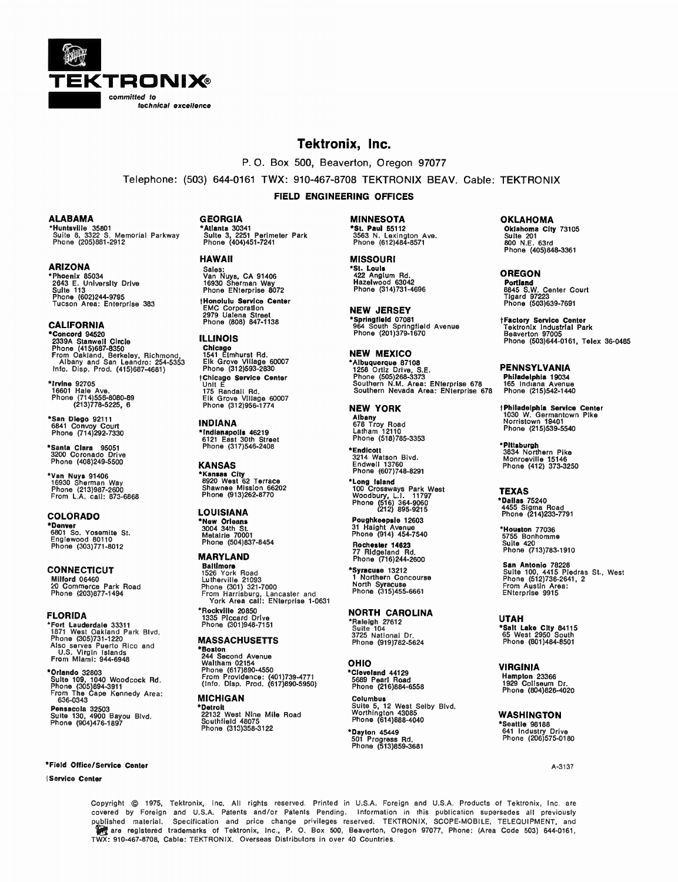

## Tektronix, Inc.

P. O. Box 500, Beaverton, Oregon 97077

Telephone: (503) 644-0161 TWX: 910-467-8708 TEKTRONIX BEAV. Cable: TEKTRONIX

FIELD ENGINEERING OFFICES

#### ALABAMA

\*Huntsville 35801 Suite 8, 3322 S. Memorial Parkway Phone (205)881-2912

ARIZONA \*Phoenix 85034 2643 E. University Drive Suite 113 Phone (602)244-9795 Tucson Area: Enterprise 383

CALIFORNIA \*Concord 94520 2339A Stanwell Circle Phone (415)687-8350 From Oakland, Berkeley, Richmond, Albany and San Leandro: 254-5353 Info. Disp. Prod. (415)687-4681)

\*Irvine 92705 16601 Hale Ave. Phone (714)556-8080-89 (213)778-5225, 6

\*San Diego 92111 6841 Convoy Court Phone (714)292-7330

\*Santa Clara 95051 3200 Coronado Drive Phone (408)249-5500

•Van Nuys 91406 16930 Sherman Way Phone (213)987-2600 From L.A. call: 873-6868

COLORADO **-Denver**<br>6801 So. Yosemite St.<br>Englewood 80110 Phone (303)771-8012

CONNECTICUT Milford 06460 20 Commerce Park Road Phone (203)877-1494

FLORIDA •Fort Lauderdale 33311 1871 West Oakland Park Blvd. Phone (305)731-1220 Also serves Puerto Rico and U.S. Virgin Islands From Miami: 944-6948

\*Orlando 32803 Suite 109, 1040 Woodcock Rd. Phone (305)894-3911 From The Cape Kennedy Area: 636-0343 Pensacola 32503 Suite 130, 4900 Bayou Blvd. Phone (904)476-1897

#### \*Field Office/Service Center A-3137

#### Service Center

GEORGIA \*Atlanta 30341 Suite 3, 2251 Perimeter Park Phone (404)451-7241

#### HAWAII

Sales: Van Nuys, CA 91406 16930 Sherman Way Phone ENterprise 8072 (Honolulu Service Center EMC Corporation 2979 Ualena Street Phone (808) 847-1138

ILLINOIS Chicago 1541 Elmhurst Rd. Elk Grove Village 60007 Phone (312)593-2830 Chicago Service Center Unit E 175 Randall Rd. Elk Grove Village 60007 Phone (312)956-1774

INDIANA \*Indianapolis 46219 6121 East 30th Street Phone (317)546-2408

KANSAS \*Kansas City 8920 West 62 Terrace Shawnee Mission 66202 Phone (913)262-8770

## LOUISIANA \*New Orleans 3004 34th St. Metairie 70001 Phone (504)837-8454

MARYLAND

Baltimore 1526 York Road Lutherville 21093 Phone (301) 321-7000 From Harrisburg, Lancaster and York Area call: ENterprise 1-0631 Rockyllie 20850

1335 Piccard Drive Phone (301)948-7151

### **MASSACHUSETTS**

\*Boston 244 Second Avenue Waltham 02154 Phone (617)890-4550 From Providence: (401)739-4771 (Info. Dist,. Prod. (617)890-5950)

## **MICHIGAN**

\*Detroit 22132 West Nine Mile Road Southfield 48075 Phone (313)358-3122

MINNESOTA **51. Paul 55112**<br>3563 N. Lexington Ave.<br>Phone (612)484-8571

MISSOURI \*St. Louis 422 Anglum Rd. Hazelwood 63042 Phone (314)731-4696

NEW JERSEY \*Springfield 07081 964 South Springfield Avenue Phone (201)379-1670

NEW MEXICO Albuquerque 87108 1258 Ortiz Drive, S.E. Phone (505)268-3373 Southern N.M. Area: ENterprise 678 Southern Nevada Area: ENterprise 678

NEW YORK Albany 678 Troy Road Latham 12110 Phone (518)785-3353

\*Endicott 3214 Watson Blvd. Endwell 13760 Phone (607)748-8291

\*Long Island 100 Crossways Park West Woodbury, L.I. 11797 Phone (516) 364-9060 (212) 895-9215

Poughkeepsie 12603 31 Haight Avenue Phone (914) 454-7540 Rochester 14623

77 Rldgeland Rd. Phone (716)244-2600

\*Syracuse 13212 1 Northern Concourse North Syracuse Phone (315)455-6661

NORTH CAROLINA \*Raleigh 27612 Suite 104 3725 National Dr. Phone (919)782-5624

## OHIO

\*Cleveland 44129 5689 Pearl Road Phone (216)884-6558 **Columbus<br>Suite 5, 12 West Selby Bivd.<br>Worthington 43085<br>Phone (614)888-4040** 

\*Dayton 45449 501 Progress Rd. Phone (513)859-3681

OKLAHOMA Oklahoma City 73105 Suite 201 800 N.E. 63rd Phone (405)848-3361

OREGON Portland 8845 S.W. Center Court Tigard 97223 Phone (503)639-7691

(Factory Service Center Tektronix Industrial Park Beaverton 97005 Phone (503)644-0161, Telex 36-0485

PENNSYLVANIA Philadelphia 19034 165 Indiana Avenue Phone (215)542-1440

(Philadelphia Service Center 1030 W. Germantown Plke Norristown 19401 Phone (215)539-5540

•Pittsburgh 3834 Northern Pike Monroeville 15146 Phone (412) 373-3250

TEXAS \*Dallas 75240 4455 Sigma Road Phone (214)233-7791

\*Houston 77036 5755 Bonhomme Suite 420 Phone (713)783-1910

San Antonio 78228 Suite 100, 4415 Piedras St, West Phone (512)736-2641, 2 From Austin Area: ENterprise 9915

UTAH \*Salt Lake City 84115 65 West 2950 South Phone (801)484-8501

VIRGINIA

Hampton 23366 1929 Coliseum Dr. Phone (804)826-4020

WASHINGTON<br>\*Seattle 98188 \*Seattle 98188 641 Industry Drive Phone (206)575-0180

Copyright © 1975, Tektronix, Inc. All rights reserved. Printed in U.S.A. Foreign and U.S.A. Products of Tektronix, Inc. are covered by Foreign and U.S.A. Patents and/or Patents Pending. Information in this publication supersedes all previously published material. Specification and price change privileges reserved. TEKTRONIX, SCOPE-MOBILE, TELEQUIPMENT, and are registered trademarks of Tektronix, Inc., P. O. Box 500, Beaverton, Oregon 97077, Phone: (Area Code 503) 644-0161, TWX: 910-467-8708, Cable: TEKTRONIX. Overseas Distributors in over 40 Countries.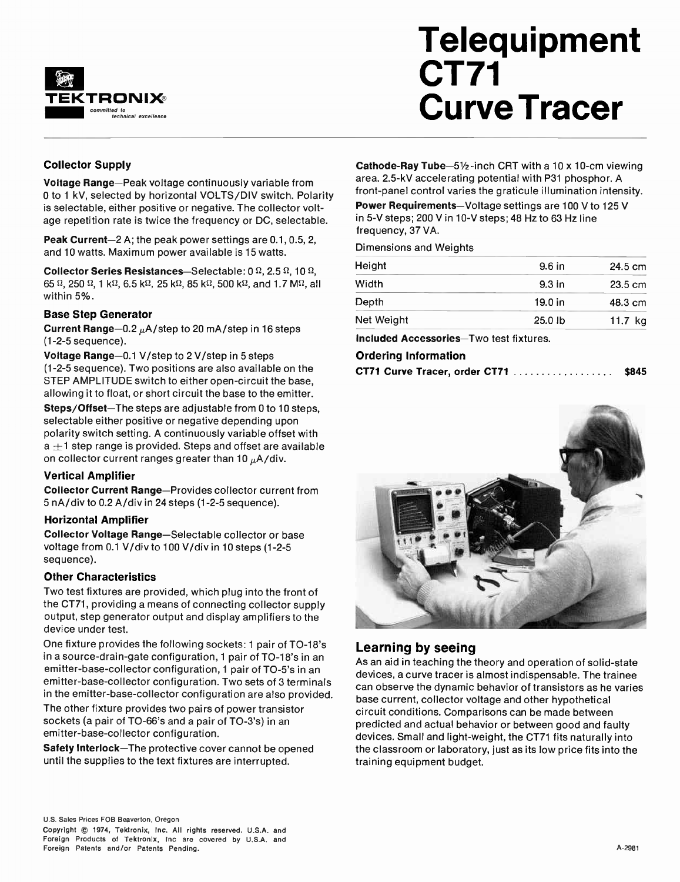

# **Telequipment** CT71 Curve Tracer

## Collector Supply

Voltage Range—Peak voltage continuously variable from 0 to 1 kV, selected by horizontal VOLTS/DIV switch. Polarity is selectable, either positive or negative. The collector voltage repetition rate is twice the frequency or DC, selectable.

Peak Current-2 A; the peak power settings are 0.1, 0.5, 2, and 10 watts. Maximum power available is 15 watts.

Collector Series Resistances-Selectable:  $0 \Omega$ , 2.5  $\Omega$ , 10  $\Omega$ , 65  $\Omega$ , 250  $\Omega$ , 1 k $\Omega$ , 6.5 k $\Omega$ , 25 k $\Omega$ , 85 k $\Omega$ , 500 k $\Omega$ , and 1.7 M $\Omega$ , all within 5%.

## Base Step Generator

Current Range-0.2  $\mu$ A/step to 20 mA/step in 16 steps (1-2-5 sequence).

Voltage Range-0.1 V/step to 2 V/step in 5 steps (1-2-5 sequence). Two positions are also available on the STEP AMPLITUDE switch to either open-circuit the base, allowing it to float, or short circuit the base to the emitter.

Steps/Offset—The steps are adjustable from 0 to 10 steps, selectable either positive or negative depending upon polarity switch setting. A continuously variable offset with  $a + 1$  step range is provided. Steps and offset are available on collector current ranges greater than 10  $\mu$ A/div.

## Vertical Amplifier

Collector Current Range—Provides collector current from 5 nA/div to 0.2 A/div in 24 steps (1-2-5 sequence).

## Horizontal Amplifier

Collector Voltage Range—Selectable collector or base voltage from 0.1 V/div to 100 V/div in 10 steps (1-2-5 sequence).

## Other Characteristics

Two test fixtures are provided, which plug into the front of the CT71, providing a means of connecting collector supply output, step generator output and display amplifiers to the device under test.

One fixture provides the following sockets: 1 pair of TO-18's in a source-drain-gate configuration, 1 pair of TO-18's in an emitter-base-collector configuration, 1 pair of TO-5's in an emitter-base-collector configuration. Two sets of 3 terminals in the emitter-base-collector configuration are also provided.

The other fixture provides two pairs of power transistor sockets (a pair of TO-66's and a pair of TO-3's) in an emitter-base-collector configuration.

Safety Interlock—The protective cover cannot be opened until the supplies to the text fixtures are interrupted.

Cathode-Ray Tube- $5\frac{1}{2}$ -inch CRT with a 10 x 10-cm viewing area. 2.5-kV accelerating potential with P31 phosphor. A front-panel control varies the graticule illumination intensity. Power Requirements—Voltage settings are 100 V to 125 V in 5-V steps; 200 Vin 10-V steps; 48 Hz to 63 Hz line frequency, 37 VA.

Dimensions and Weights

| Height     | 9.6 in            | 24.5 cm           |
|------------|-------------------|-------------------|
| Width      | 9.3 <sub>in</sub> | $23.5 \text{ cm}$ |
| Depth      | $19.0$ in         | 48.3 cm           |
| Net Weight | $25.0$ lb         | 11.7 $kg$         |

Included Accessories—Two test fixtures.

## Ordering Information

|  |  | CT71 Curve Tracer, order CT71 $\ldots \ldots \ldots \ldots \ldots$ | \$845 |
|--|--|--------------------------------------------------------------------|-------|
|  |  |                                                                    |       |



## Learning by seeing

As an aid in teaching the theory and operation of solid-state devices, a curve tracer is almost indispensable. The trainee can observe the dynamic behavior of transistors as he varies base current, collector voltage and other hypothetical circuit conditions. Comparisons can be made between predicted and actual behavior or between good and faulty devices. Small and light-weight, the CT71 fits naturally into the classroom or laboratory, just as its low price fits into the training equipment budget.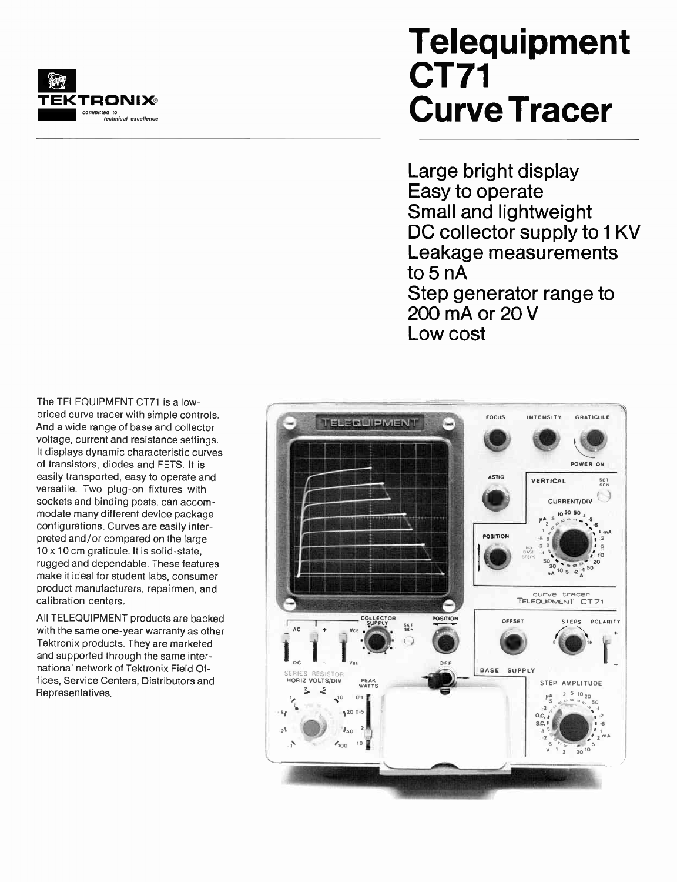

## **Telequipment** CT71 Curve Tracer

Large bright display Easy to operate Small and lightweight DC collector supply to 1 KV Leakage measurements to 5 nA Step generator range to 200 mA or 20 V Low cost

The TELEQUIPMENT CT71 is a lowpriced curve tracer with simple controls. And a wide range of base and collector voltage, current and resistance settings. It displays dynamic characteristic curves of transistors, diodes and FETS. It is easily transported, easy to operate and versatile. Two plug-on fixtures with sockets and binding posts, can accommodate many different device package configurations. Curves are easily interpreted and/or compared on the large 10 x 10 cm graticule. It is solid-state, rugged and dependable. These features make it ideal for student labs, consumer product manufacturers, repairmen, and calibration centers.

All TELEQUIPMENT products are backed with the same one-year warranty as other Tektronix products. They are marketed and supported through the same international network of Tektronix Field Offices, Service Centers, Distributors and Representatives.

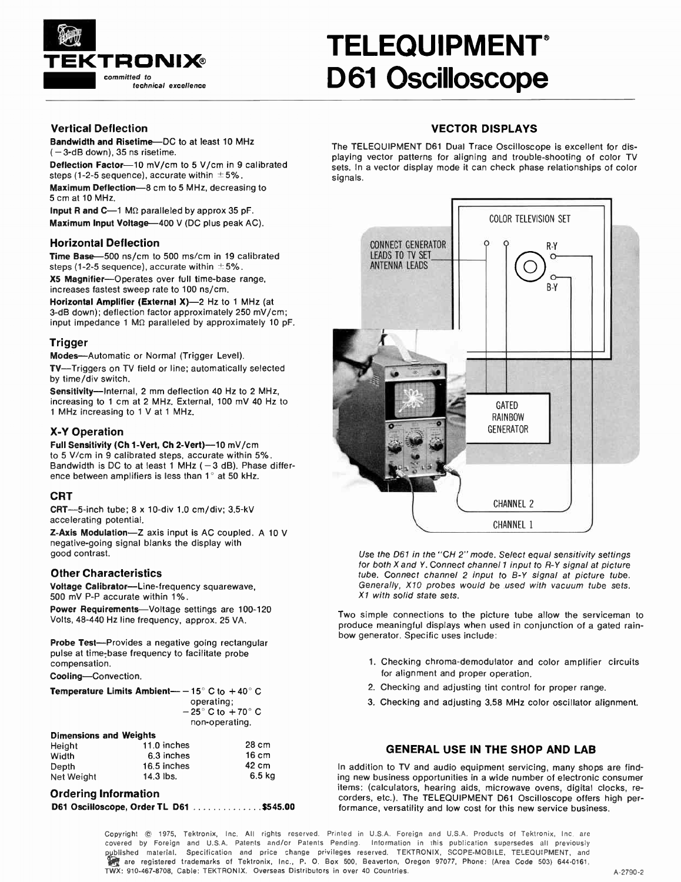

## TELEQUIPMENT® D61 Oscilloscope

## Vertical Deflection

Bandwidth and Risetime—DC to at least 10 MHz  $-3$ -dB down), 35 ns risetime.

Deflection Factor-10 mV/cm to 5 V/cm in 9 calibrated steps (1-2-5 sequence), accurate within  $\pm 5\%$ . Maximum Deflection-8 cm to 5 MHz, decreasing to 5 cm at 10 MHz.

Input R and  $C-1$  M $\Omega$  paralleled by approx 35 pF. Maximum Input Voltage-400 V (DC plus peak AC).

## Horizontal Deflection

Time Base-500 ns/cm to 500 ms/cm in 19 calibrated steps (1-2-5 sequence), accurate within  $\pm 5\%$ . X5 Magnifier—Operates over full time-base range,

increases fastest sweep rate to 100 ns/cm. Horizontal Amplifier (External X)-2 Hz to 1 MHz (at

3-dB down); deflection factor approximately 250 mV/cm; input impedance 1 M $\Omega$  paralleled by approximately 10 pF.

## **Trigger**

Modes—Automatic or Normal (Trigger Level).

TV—Triggers on TV field or line; automatically selected by time/div switch.

Sensitivity—Internal, 2 mm deflection 40 Hz to 2 MHz, increasing to 1 cm at 2 MHz. External, 100 mV 40 Hz to 1 MHz increasing to 1 V at 1 MHz.

## -Y Operation

Full Sensitivity (Ch 1-Vert, Ch 2-Vert)--10 mV/cm to 5 V/cm in 9 calibrated steps, accurate within 5%. Bandwidth is DC to at least  $1$  MHz ( $-3$  dB). Phase difference between amplifiers is less than  $1^\circ$  at 50 kHz.

## **CRT**

CRT-5-inch tube; 8 x 10-div 1.0 cm/div; 3.5-kV accelerating potential.

Z-Axis Modulation—Z axis input is AC coupled. A 10 V negative-going signal blanks the display with good contrast.

## Other Characteristics

Voltage Calibrator—Line-frequency squarewave, 500 mV P-P accurate within 1%.

Power Requirements-Voltage settings are 100-120 Volts, 48-440 Hz line frequency, approx. 25 VA.

Probe Test-Provides a negative going rectangular pulse at time-base frequency to facilitate probe compensation.

Cooling—Convection.

| Temperature Limits Ambient— $-$ 15° C to $+$ 40° C |                                    |
|----------------------------------------------------|------------------------------------|
|                                                    | operating:                         |
|                                                    | $-25^{\circ}$ C to $+70^{\circ}$ C |
|                                                    | non-operating.                     |
| Dimensions and Weights                             |                                    |

| <b>DIMENSIONS AND WEIGHTS</b> |                 |
|-------------------------------|-----------------|
| 11.0 inches                   | 28 cm           |
| 6.3 inches                    | $16 \text{ cm}$ |
| 16.5 inches                   | 42 cm           |
| 14.3 lbs.                     | 6.5 kg          |
|                               |                 |

### Ordering Information

|  |  |  |  | D61 Oscilloscope, Order TL D61 \$545.00 |  |
|--|--|--|--|-----------------------------------------|--|
|--|--|--|--|-----------------------------------------|--|

## VECTOR DISPLAYS

The TELEQUIPMENT D61 Dual Trace Oscilloscope is excellent for displaying vector patterns for aligning and trouble-shooting of color TV sets. In a vector display mode it can check phase relationships of color signals.



Use the D61 in the "CH 2" mode. Select equal sensitivity settings for both  $X$  and  $Y$ . Connect channel 1 input to  $R - Y$  signal at picture tube. Connect channel 2 input to B-Y signal at picture tube. Generally, X10 probes would be used with vacuum tube sets. X1 with solid state sets.

Two simple connections to the picture tube allow the serviceman to produce meaningful displays when used in conjunction of a gated rainbow generator. Specific uses include:

- 1. Checking chroma-demodulator and color amplifier circuits for alignment and proper operation.
- 2. Checking and adjusting tint control for proper range.
- 3. Checking and adjusting 3.58 MHz color oscillator alignment.

## GENERAL USE IN THE SHOP AND LAB

In addition to TV and audio equipment servicing, many shops are finding new business opportunities in a wide number of electronic consumer items: (calculators, hearing aids, microwave ovens, digital clocks, recorders, etc.). The TELEQUIPMENT D61 Oscilloscope offers high performance, versatility and low cost for this new service business.

Copyright  $\otimes$  1975, Tektronix, Inc. All rights reserved. Printed in U.S.A. Foreign and U.S.A. Products of Tektronix, Inc. are covered by Foreign and U.S.A. Patents and/or Patents Pending. Information in this publication supersedes all previously published material. Specification and price change privileges reserved. TEKTRONIX, SCOPE-MOBILE, TELEQUIPMENT, and qe are registered trademarks of Tektronix, Inc., P. 0. Box 500, Beaverton, Oregon 97077, Phone: (Area Code 503) 644-0161, TWX: 910-467-8708, Cable: TEKTRONIX. Overseas Distributors in over 40 Countries. A-2790-2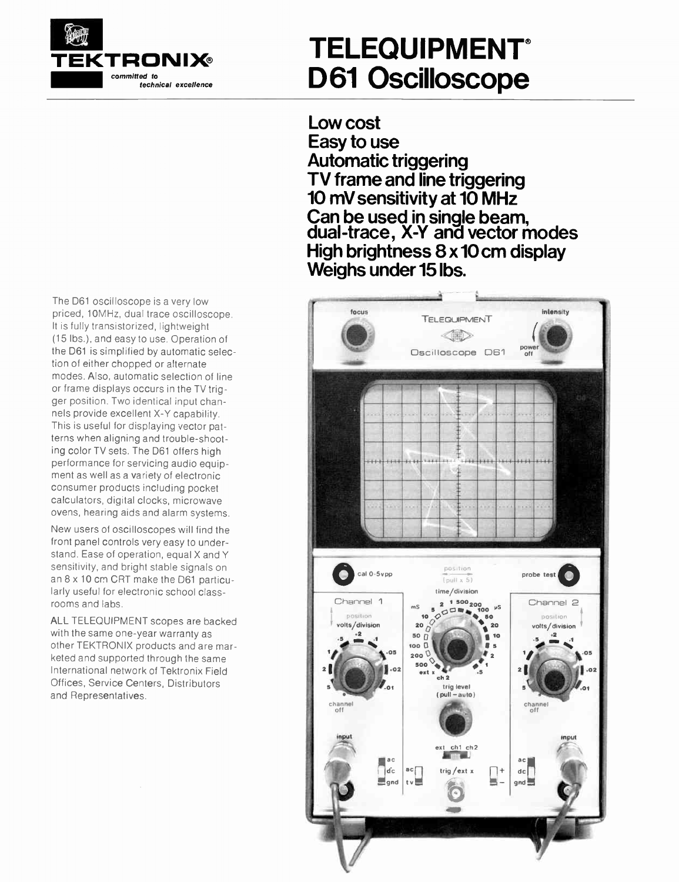

## TELEQUIPMENT® D61 Oscilloscope

Low cost Easy to use Automatic triggering TV frame and line triggering 10 mV sensitivity at 10 MHz Can be used in single beam, auai-trace, x-r and vector modes High brightness 8 x 10cm display Weighs under 15 lbs.



The 061 oscilloscope is a very low priced, 10MHz, dual trace oscilloscope. It is fully transistorized, lightweight (15 lbs.), and easy to use. Operation of the D61 is simplified by automatic selection of either chopped or alternate modes. Also, automatic selection of line or frame displays occurs in the TV trigger position. Two identical input channels provide excellent X-Y capability. This is useful for displaying vector patterns when aligning and trouble-shooting color TV sets. The 061 offers high performance for servicing audio equipment as well as a variety of electronic consumer products including pocket calculators, digital clocks, microwave ovens, hearing aids and alarm systems.

New users of oscilloscopes will find the front panel controls very easy to understand. Ease of operation, equal X and Y sensitivity, and bright stable signals on an 8 x 10 cm CRT make the D61 particularly useful for electronic school classrooms and labs.

ALL TELEQUIPMENT scopes are backed with the same one-year warranty as other TEKTRONIX products and are marketed and supported through the same International network of Tektronix Field Offices, Service Centers, Distributors and Representatives.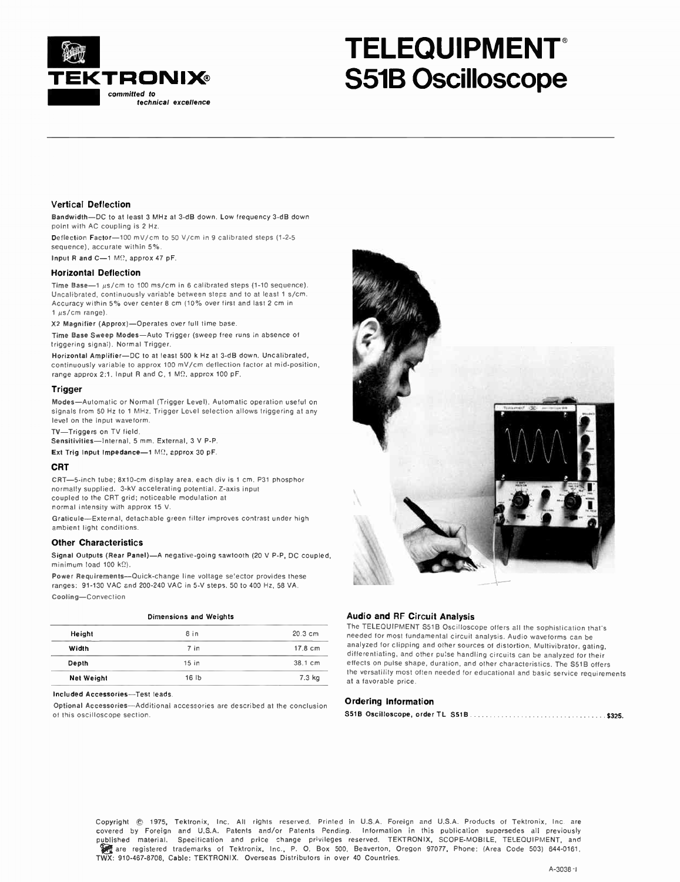

## TELEQUIPMENT S51B Oscilloscope

#### Vertical Deflection

Bandwidth—DC to at least 3 MHz at 3-dB down. Low frequency 3-dB down point with AC coupling is 2 Hz.

Deflection Factor-100 mV/cm to 50 V/cm in 9 calibrated steps (1-2-5 sequence). accurate within 5%.

Input R and C-1 M $\Omega$ , approx 47 pF.

#### Horizontal Deflection

Time Base-1  $\mu$ s/cm to 100 ms/cm in 6 calibrated steps (1-10 sequence). Uncalibrated, continuously variable between steps and to at least 1 s/cm. Accuracy within 5% over center 8 cm (10% over first and last 2 cm in  $1 \mu s/cm$  range).

X2 Magnifier (Approx)—Operates over full time base.

Time Base Sweep Modes—Auto Trigger (sweep free runs in absence of triggering signa:). Normal Trigger.

Horizontal Amplifier—DC to at least 500 k Hz at 3-dB down. Uncalibrated, continuously variable to approx 100 mV/cm deflection factor at mid-position, range approx 2:1. Input R and C, 1 MD, approx 100 pF.

#### Trigger

Modes—Automatic or Normal (Trigger Level). Automatic operation useful on signals from 50 Hz to 1 MHz. Trigger Level selection allows triggering at any level on the input waveform.

TV—Triggers on TV field.

Sensitivities—Internal, 5 mm. External, 3 V P-P.

Ext Trig Input Impedance-1 M $\Omega$ , approx 30 pF.

#### CRT

CRT-5-inch tube; 8x10-cm display area, each div is 1 cm. P31 phosphor normally supplied. 3-kV accelerating potential. Z-axis input coupled to the CRT grid; noticeable modulation at normal intensity with approx 15 V.

Graticule—External, detachable green filter improves contrast under high ambient light conditions.

#### Other Characteristics

Signal Outputs (Rear Panel)—A negative-going sawtooth (20 V P-P, DC coupled, minimum load 100 k $\Omega$ ).

Power Requirements—Quick-change line voltage selector provides these ranges: 91-130 VAC and 200-240 VAC in 5-V steps. 50 to 400 Hz, 58 VA. Cooling—Convection

|                   | Dimensions and Weights |           |
|-------------------|------------------------|-----------|
| Height            | 8 in                   | $20.3$ cm |
| Width             | 7 in                   | 17.8 cm   |
| Depth             | 15 <sub>in</sub>       | 38.1 cm   |
| <b>Net Weight</b> | 16 <sub>1b</sub>       | 7.3 kg    |

#### Included Accessories—Test leads.

Optional Accessories—Additional accessories are described at the conclusion of this oscilloscope section.



### Audio and RF Circuit Analysis

The TELEQUIPMENT 551B Oscilloscope offers all the sophistication that's needed for most fundamental circuit analysis. Audio waveforms can be analyzed for clipping and other sources of distortion. Multivibrator, gating, differentiating, and other pulse handling circuits can be analyzed for their effects on pulse shape, duration, and other characteristics. The S518 offers the versatility most often needed for educational and basic service requirements at a favorable price.

#### Ordering Information

S51B Oscilloscope, order TL 551B \$325.

Copyright © 1975, Tektronix, Inc. All rights reserved. Printed in U.S.A. Foreign and U.S.A. Products of Tektronix, Inc. are covered by Foreign and U.S.A. Patents and/or Patents Pending. Information in this publication supersedes all previously published material. Specification and price change privileges reserved. TEKTRONIX, SCOPE-MOBILE, TELEQUIPMENT, and In are registered trademarks of Tektronix, Inc., P. 0. Box 500, Beaverton, Oregon 97077, Phone: (Area Code 503) 644-0161, TWX: 910-467-8708, Cable: TEKTRONIX. Overseas Distributors in over 40 Countries.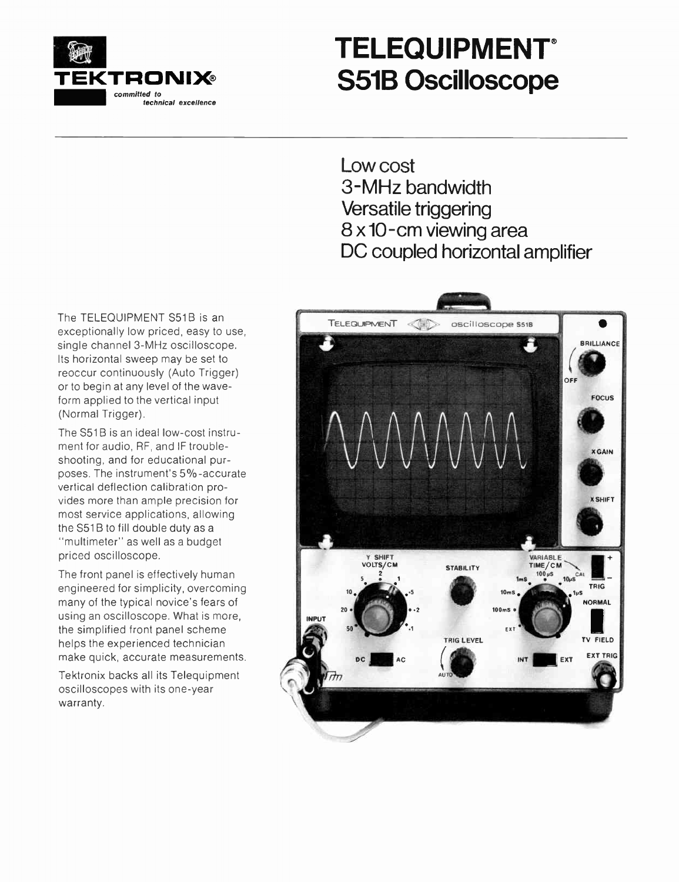

## TELEQUIPMENT S51B Oscilloscope

Low cost 3-MHz bandwidth Versatile triggering 8 x 10-cm viewing area DC coupled horizontal amplifier

The TELEQUIPMENT S51B is an exceptionally low priced, easy to use, single channel 3-MHz oscilloscope. Its horizontal sweep may be set to reoccur continuously (Auto Trigger) or to begin at any level of the waveform applied to the vertical input (Normal Trigger).

The S51B is an ideal low-cost instrument for audio, RF, and IF troubleshooting, and for educational purposes. The instrument's 5%-accurate vertical deflection calibration provides more than ample precision for most service applications, allowing the S51B to fill double duty as a "multimeter" as well as a budget priced oscilloscope.

The front panel is effectively human engineered for simplicity, overcoming many of the typical novice's fears of using an oscilloscope. What is more, the simplified front panel scheme helps the experienced technician make quick, accurate measurements.

Tektronix backs all its Telequipment oscilloscopes with its one-year warranty.

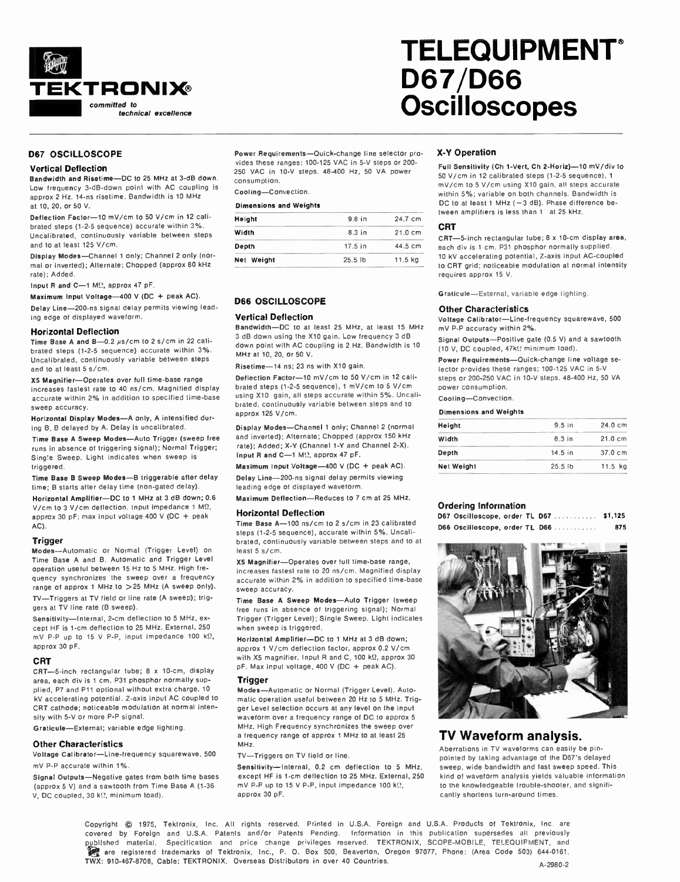

#### D67 OSCILLOSCOPE

#### Vertical Deflection

Bandwidth and Risetime—DC to 25 MHz at 3-dB down. Low frequency 3-dB-down point with AC coupling is approx 2 Hz. 14-ns risetime. Bandwidth is 10 MHz at 10, 20, or 50 V.

Deflection Factor-10 mV/cm to 50 V/cm in 12 calibrated steps (1-2-5 sequence) accurate within 3%. Uncalibrated, continuously variable between steps and to at least 125 V/cm.

Display Modes—Channel 1 only; Channel 2 only (normal or inverted); Alternate; Chopped (approx 80 kHz rate); Added.

Input R and C-1 MQ, approx 47 pF.

Maximum Input Voltage-400 V (DC + peak AC).

Delay Line-200-ns signal delay permits viewing leading edge of displayed waveform.

#### Horizontal Deflection

Time Base A and B--0.2  $\mu$ s/cm to 2 s/cm in 22 calibrated steps (1-2-5 sequence) accurate within 3%. Uncalibrated, continuously variable between steps and to at least 5 s/cm.

X5 Magnifier—Operates over full time-base range increases fastest rate to 40 ns/cm. Magnified display accurate within 2% in addition to specified time-base sweep accuracy.

Horizontal Display Modes—A only, A intensified during B, B delayed by A. Delay is uncalibrated.

Time Base A Sweep Modes—Auto Trigger (sweep free runs in absence of triggering signal); Normal Trigger; Single Sweep. Light indicates when sweep is triggered.

Time Base B Sweep Modes—B triggerable after delay time; B starts after delay time (non-gated delay).

Horizontal Amplifier—DC to 1 MHz at 3 dB down; 0.6 V/cm to 3 V/cm deflection. Input impedance 1 MD, approx 30 pF; max input voltage 400 V (DC + peak AC).

#### Trigger

Modes—Automatic or Normal (Trigger Level) on Time Base A and B. Automatic and Trigger Level operation useful between 15 Hz to 5 MHz. High frequency synchronizes the sweep over a frequency range of approx 1 MHz to >25 MHz (A sweep only). TV—Triggers at TV field or line rate (A sweep); triggers at TV line rate (B sweep).

Sensitivity—Internal, 2-cm deflection to 5 MHz, except HF is 1-cm deflection to 25 MHz. External, 250 mV P-P up to 15 V P-P, input impedance 100  $k\Omega$ , approx 30 pF.

#### CRT

CRT-5-inch rectangular tube; 8 x 10-cm, display area, each div is 1 cm. P31 phosphor normally supplied, P7 and P11 optional without extra charge. 10 kV accelerating potential. Z-axis input AC coupled to CRT cathode; noticeable modulation at normal intensity with 5-V or more P-P signal.

Graticule—External; variable edge lighting.

#### Other Characteristics

Voltage Calibrator—Line-frequency squarewave, 500 mV P-P accurate within 1%.

Signal Outputs—Negative gates from both time bases (approx 5 V) and a sawtooth from Time Base A (1-36 V, DC coupled, 30 k.?, minimum load).

Power Requirements—Quick-change line selector provides these ranges: 100-125 VAC in 5-V steps or 200- 250 VAC in 10-V steps. 48-400 Hz, 50 VA power consumption.

Cooling—Convection.

#### Dimensions and Weights

| Height     | 9.8 in    | 24.7 cm           |
|------------|-----------|-------------------|
| Width      | 8.3 in    | $21.0 \text{ cm}$ |
| Depth      | 17.5 in   | 44.5 cm           |
| Net Weight | $25.5$ lb | 11.5 kg           |

#### D66 OSCILLOSCOPE

#### Vertical Deflection

Bandwidth—DC to at least 25 MHz, at least 15 MHz 3 dB down using the X10 gain. Low frequency 3 dB down point with AC coupling is 2 Hz. Bandwidth is 10 MHz at 10, 20, or 50 V.

#### Risetime-14 ns; 23 ns with X10 gain.

Deflection Factor-10 mV/cm to 50 V/cm in 12 calibrated steps (1-2-5 sequence), 1 mV/cm to 5 V/cm using X10 gain, all steps accurate within 5%. Uncalibrated, continuously variable between steps and to approx 125 V/cm.

Display Modes—Channel 1 only; Channel 2 (normal and inverted); Alternate; Chopped (approx 150 kHz rate); Added; X-Y (Channel 1-Y and Channel 2-X). Input R and C-1 M $\Omega$ , approx 47 pF.

Maximum Input Voltage-400 V (DC + peak AC).

Delay Line-200-ns signal delay permits viewing leading edge of displayed waveform.

Maximum Deflection—Reduces to 7 cm at 25 MHz.

#### Horizontal Deflection

Time Base A-100 ns/cm to 2 s/cm in 23 calibrated steps (1-2-5 sequence), accurate within 5%. Uncalibrated, continuously variable between steps and to at least 5 s/cm.

X5 Magnifier—Operates over full time-base range, increases fastest rate to 20 ns/cm. Magnified display accurate within 2% in addition to specified time-base sweep accuracy.

Time Base A Sweep Modes—Auto Trigger (sweep free runs in absence of triggering signal); Normal Trigger (Trigger Level); Single Sweep. Light indicates when sweep is triggered.

Horizontal Amplifier—DC to 1 MHz at 3 dB down; approx 1 V/cm deflection factor, approx 0.2 V/cm with X5 magnifier. Input R and C, 100 k $\Omega$ , approx 30 pF. Max input voltage, 400 V (DC + peak AC).

#### Trigger

Modes—Automatic or Normal (Trigger Level). Automatic operation useful between 20 Hz to 5 MHz. Trigger Level selection occurs at any level on the input waveform over a frequency range of DC to approx 5 MHz. High Frequency synchronizes the sweep over a frequency range of approx 1 MHz to at least 25 MHz.

TV—Triggers on TV field or line.

Sensitivity—Internal, 0.2 cm deflection to 5 MHz, except HF is 1-cm deflection to 25 MHz. External, 250 mV P-P up to 15 V P-P, input impedance 100 k $\Omega$ , approx 30 pF.

## -Y Operation

**Oscilloscopes** 

D67/D66

Full Sensitivity (Ch 1-Vert, Ch 2-Horiz)--10 mV/div to 50 V/cm in 12 calibrated steps (1-2-5 sequence), 1 mV/cm to 5 V/cm using X10 gain, all steps accurate within 5%; variable on both channels. Bandwidth is DC to at least 1 MHz  $(-3$  dB). Phase difference between amplifiers is less than 1" at 25 kHz.

**TELEQUIPMENT®** 

#### CRT

CRT-5-inch rectangular tube; 8 x 10-cm display area, each div is 1 cm. P31 phosphor normally supplied. 10 kV accelerating potential, Z-axis input AC-coupled to CRT grid; noticeable modulation at normal intensity requires approx 15 V.

Graticule—External, variable edge lighting.

#### Other Characteristics

Voltage Calibrator—Line-frequency squarewave, 500 mV P-P accuracy within 2%.

Signal Outputs—Positive gate (0.5 V) and a sawtooth (10 V, DC coupled, 47k $\Omega$  minimum load).

Power Requirements—Quick-change line voltage selector provides these ranges; 100-125 VAC in 5-V steps or 200-250 VAC in 10-V steps. 48-400 Hz, 50 VA power consumption.

#### Cooling—Convection.

#### Dimensions and Weights

| Height            | $9.5$ in          | 24.0 cm           |
|-------------------|-------------------|-------------------|
| Width             | 8.3 <sub>in</sub> | $21.0 \text{ cm}$ |
| Depth             | $14.5$ in         | 37.0 cm           |
| <b>Net Weight</b> | $25.5$ <i>Ib</i>  | $11.5$ kg         |
|                   |                   |                   |

#### Ordering Information

| D67 Oscilloscope, order TL D67 |  |  | \$1,125 |
|--------------------------------|--|--|---------|
| D66 Oscilloscope, order TL D66 |  |  | 875     |



## TV Waveform analysis.

Aberrations in TV waveforms can easily be pinpointed by taking advantage of the D67's delayed sweep, wide bandwidth and fast sweep speed. This kind of waveform analysis yields valuable information to the knowledgeable trouble-shooter, and significantly shortens turn-around times.

Copyright © 1975, Tektronix, Inc. All rights reserved. Printed in U.S.A. Foreign and U.S.A. Products of Tektronix, Inc. are covered by Foreign and U.S.A. Patents and/or Patents Pending. Information in this publication supersedes all previously published material. Specification and price change privileges reserved. TEKTRONIX, SCOPE-MOBILE, TELEQUIPMENT, and are registered trademarks of Tektronix, Inc., P. O. Box 500, Beaverton, Oregon 97077, Phone: (Area Code 503) 644-0161, TWX: 910-467-8708, Cable: TEKTRONIX. Overseas Distributors in over 40 Countries. A-2980-2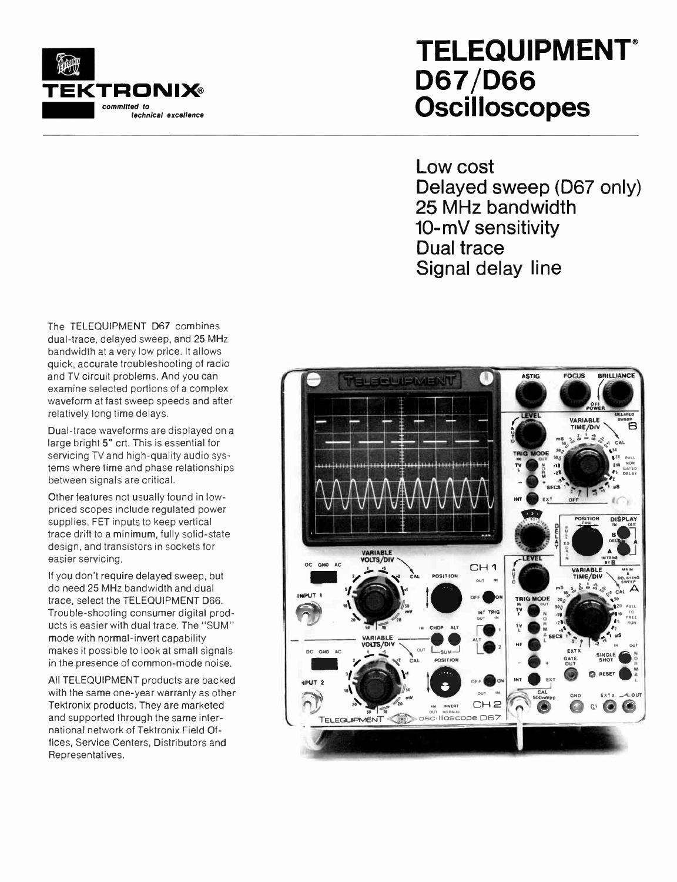

## **TELEQUIPMENT®** D67/D66 **Oscilloscopes**

Low cost Delayed sweep (D67 only) 25 MHz bandwidth 10-mV sensitivity Dual trace Signal delay line

The TELEQUIPMENT D67 combines dual-trace, delayed sweep, and 25 MHz bandwidth at a very low price. It allows quick, accurate troubleshooting of radio and TV circuit problems. And you can examine selected portions of a complex waveform at fast sweep speeds and after relatively long time delays.

Dual-trace waveforms are displayed on a large bright 5" crt. This is essential for servicing TV and high-quality audio systems where time and phase relationships between signals are critical.

Other features not usually found in lowpriced scopes include regulated power supplies, FET inputs to keep vertical trace drift to a minimum, fully solid-state design, and transistors in sockets for easier servicing.

If you don't require delayed sweep, but do need 25 MHz bandwidth and dual trace, select the TELEQUIPMENT D66. Trouble-shooting consumer digital products is easier with dual trace. The "SUM" mode with normal-invert capability makes it possible to look at small signals in the presence of common-mode noise.

All TELEQUIPMENT products are backed with the same one-year warranty as other Tektronix products. They are marketed and supported through the same international network of Tektronix Field Offices, Service Centers, Distributors and Representatives.

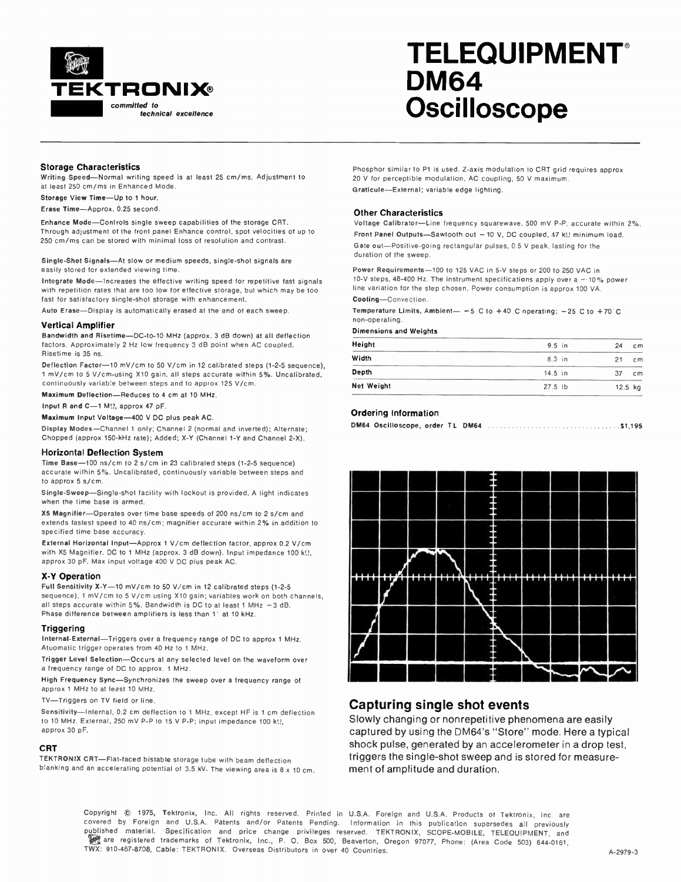

## TELEQUIPMENT DM64 **Oscilloscope**

#### Storage Characteristics

Writing Speed—Normal writing speed is at least 25 cm/ms. Adjustment to at least 250 cm/ms in Enhanced Mode.

Storage View Time—Up to 1 hour.

Erase Time—Approx. 0.25 second.

Enhance Mode—Controls single sweep capabilities of the storage CRT. Through adjustment of the front panel Enhance control, spot velocities of up to 250 cm/ms can be stored with minimal loss of resolution and contrast.

Single-Shot Signals—At slow or medium speeds, single-shot signals are easily stored for extended viewing time.

Integrate Mode—Increases the effective writing speed for repetitive fast signals with repetition rates that are too low for effective storage, but which may be too fast for satisfactory single-shot storage with enhancement.

Auto Erase—Display is automatically erased at the end of each sweep.

#### Vertical Amplifier

Bandwidth and Risetime—DC-to-10 MHz (approx. 3 dB down) at all deflection factors. Approximately 2 Hz low frequency 3 dB point when AC coupled. Risetime is 35 ns.

Deflection Factor-10 mV/cm to 50 V/cm in 12 calibrated steps (1-2-5 sequence), 1 mV/cm to 5 V/cm-using X10 gain, all steps accurate within 5%. Uncalibrated, continuously variable between steps and to approx 125 V/cm.

Maximum Deflection—Reduces to 4 cm at 10 MHz.

Input R and  $C=1$  M $\Omega$ , approx 47 pF.

Maximum Input Voltage-400 V DC plus peak AC.

Display Modes—Channel 1 only; Channel 2 (normal and inverted); Alternate; Chopped (approx 150-kHz rate); Added; X-Y (Channel 1-Y and Channel 2-X).

#### Horizontal Deflection System

Time Base-100 ns/cm to 2 s/cm in 23 calibrated steps (1-2-5 sequence) accurate within 5%. Uncalibrated, continuously variable between steps and to approx 5 s/cm.

Single-Sweep—Single-shot facility with lockout is provided. A light indicates when the time base is armed.

X5 Magnifier—Operates over time base speeds of 200 ns/cm to 2 s/cm and extends fastest speed to 40 ns/cm; magnifier accurate within 2% in addition to specified time base accuracy.

External Horizontal Input—Approx 1 V/cm deflection factor, approx 0.2 V/cm with X5 Magnifier. DC to 1 MHz (approx. 3 dB down). Input impedance 100 k(!, approx 30 pF. Max input voltage 400 V DC plus peak AC.

#### -Y Operation

Full Sensitivity X-Y-10 mV/cm to 50 V/cm in 12 calibrated steps (1-2-5 sequence), 1 mV/cm to 5 V/cm using X10 gain; variables work on both channels, all steps accurate within 5%. Bandwidth is DC to at least 1 MHz —3 dB. Phase difference between amplifiers is less than 1° at 10 kHz.

#### **Triggering**

Internal-External—Triggers over a frequency range of DC to approx 1 MHz. Atuomatic trigger operates from 40 Hz to 1 MHz.

Trigger Level Selection—Occurs at any selected level on the waveform over a frequency range of DC to approx. 1 MHz.

High Frequency Sync—Synchronizes the sweep over a frequency range of approx 1 MHz to at least 10 MHz.

TV—Triggers on TV field or line.

Sensitivity—Internal, 0.2 cm deflection to 1 MHz, except HF is 1 cm deflection to 10 MHz. External, 250 mV P-P to 15 V P-P; input impedance 100 k $\Omega$ , approx 30 pF.

#### CRT

TEKTRONIX CRT—Flat-faced bistable storage tube with beam deflection blanking and an accelerating potential of 3.5 kV. The viewing area is 8 x 10 cm. Phosphor similar to P1 is used. Z-axis modulation to CRT grid requires approx 20 V for perceptible modulation, AC coupling, 50 V maximum. Graticule—External; variable edge lighting.

#### Other Characteristics

Voltage Calibrator—Line frequency squarewave, 500 mV P-P, accurate within 2%. Front Panel Outputs-Sawtooth out - 10 V, DC coupled, 47 kg minimum load. Gate out—Positive-going rectangular pulses, 0.5 V peak, lasting for the duration of the sweep.

Power Requirements-100 to 125 VAC in 5-V steps or 200 to 250 VAC in 10-V steps, 48-400 Hz. The instrument specifications apply over a  $-10\%$  power line variation for the step chosen. Power consumption is approx 100 VA. Cooling—Convection.

Temperature Limits, Ambient- $-5$  C to +40 C operating; -25 C to +70 C non-operating.

Dimensions and Weights

| Height     | $9.5$ in  | 24          | cm |
|------------|-----------|-------------|----|
| Width      | $8.3$ in  | 21          | cm |
| Depth      | $14.5$ in | 37          | cm |
| Net Weight | $27.5$ lb | $12.5$ $kg$ |    |

#### Ordering Information

DM64 Oscilloscope, order TL DM64 \$1,195



## Capturing single shot events

Slowly changing or nonrepetitive phenomena are easily captured by using the DM64's "Store" mode. Here a typical shock pulse, generated by an accelerometer in a drop test. triggers the single-shot sweep and is stored for measurement of amplitude and duration.

Copyright © 1975, Tektronix, Inc. All rights reserved. Printed in U.S.A. Foreign and U.S.A. Products of Tektronix, Inc. are covered by Foreign and U.S.A. Patents and/or Patents Pending. Information in this publication supersedes all previously published material. Specification and price change privileges reserved. TEKTRONIX, SCOPE-MOBILE, TELEOUIPMENT, and <sub></sup>s</sub> are registered trademarks of Tektronix, Inc., P. O. Box 500, Beaverton, Oregon 97077, Phone: (Area Code 503) 644-0161, TWX: 910-467-8708, Cable: TEKTRONIX. Overseas Distributors in over 40 Countries. A-2979-3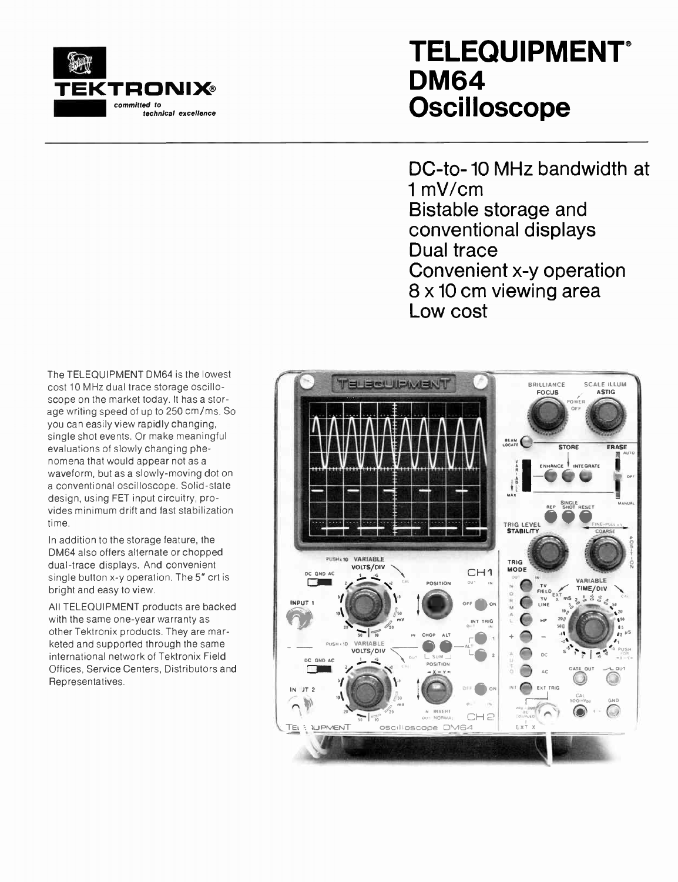

## TELEQUIPMENT **DM64 Oscilloscope**

DC-to- 10 MHz bandwidth at 1 mV/cm Bistable storage and conventional displays Dual trace Convenient x-y operation 8 x 10 cm viewing area Low cost

The TELEQUIPMENT DM64 is the lowest cost 10 MHz dual trace storage oscilloscope on the market today. It has a storage writing speed of up to 250 cm/ms. So you can easily view rapidly changing, single shot events. Or make meaningful evaluations of slowly changing phenomena that would appear not as a waveform, but as a slowly-moving dot on a conventional oscilloscope. Solid-state design, using FET input circuitry, provides minimum drift and fast stabilization time.

In addition to the storage feature, the DM64 also offers alternate or chopped dual-trace displays. And convenient single button x-y operation. The 5" crt is bright and easy to view.

All TELEQUIPMENT products are backed with the same one-year warranty as other Tektronix products. They are marketed and supported through the same international network of Tektronix Field Offices, Service Centers, Distributors and Representatives.

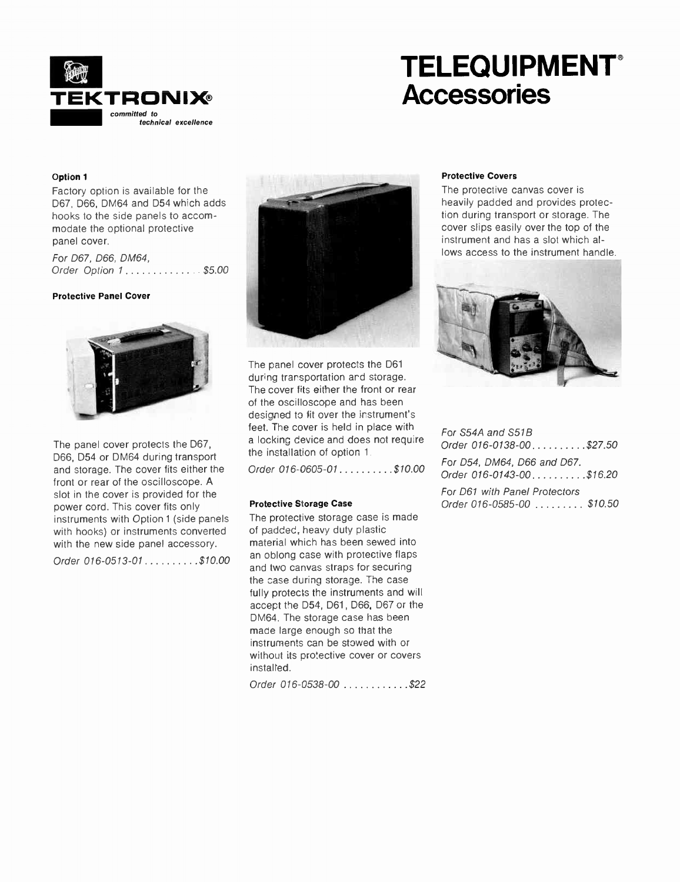

## TELEQUIPMENT **Accessories**

### Option 1

Factory option is available for the D67, D66, DM64 and D54 which adds hooks to the side panels to accommodate the optional protective panel cover.

For D67, D66, DM64, Order Option  $1, \ldots, \ldots, \ldots$  \$5.00

### Protective Panel Cover



The panel cover protects the D67, D66, D54 or DM64 during transport and storage. The cover fits either the front or rear of the oscilloscope. A slot in the cover is provided for the power cord. This cover fits only instruments with Option 1 (side panels with hooks) or instruments converted with the new side panel accessory.

Order  $016 - 0513 - 01$ ........\$10.00



The panel cover protects the D61 during trarsportation ard storage. The cover fits either the front or rear of the oscilloscope and has been designed to fit over the instrument's feet. The cover is held in place with a locking device and does not requ're the installation of option 1

Order  $016 - 0605 - 01$ ........\$10.00

#### Protective Storage Case

The protective storage case is made of padded, heavy duty plastic material which has been sewed into an oblong case with protective flaps and two canvas straps for securing the case during storage. The case fully protects the instruments and will accept the D54, D61, D66, D67 or the DM64. The storage case has been made large enough so that the instruments can be stowed with or without its protective cover or covers installed.

Order 016-0538-00 ...........\$22

### Protective Covers

The protective canvas cover is heavily padded and provides protection during transport or storage. The cover slips easily over the top of the instrument and has a slot which allows access to the instrument handle.



For S54A and S518 Order  $016 - 0138 - 00$   $\ldots$  \$27.50 For D54, DM64, D66 and D67. Order  $016 - 0143 - 00$ ........\$16.20 For D61 with Panel Protectors Order 016-0585-00  $\ldots \ldots \ldots$  \$10.50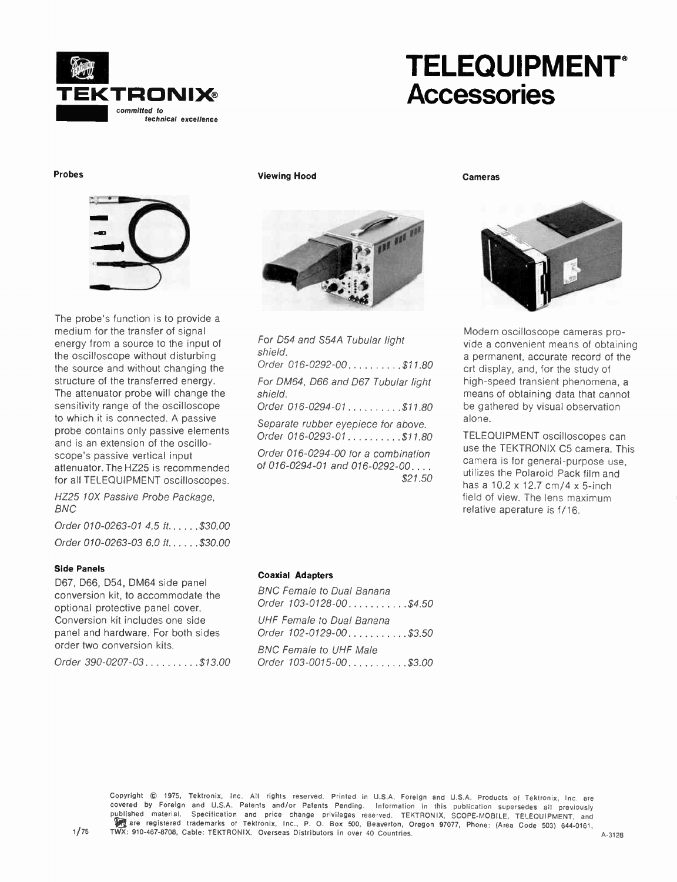

## TELEQUIPMENT **Accessories**

Probes



The probe's function is to provide a medium for the transfer of signal energy from a source to the input of the oscilloscope without disturbing the source and without changing the structure of the transferred energy. The attenuator probe will change the sensitivity range of the oscilloscope to which it is connected. A passive probe contains only passive elements and is an extension of the oscilloscope's passive vertical input attenuator. The HZ25 is recommended for all TELEQUIPMENT oscilloscopes.

HZ25 10X Passive Probe Package, BNC

Order 010-0263-01  $4.5$  ft.....\$30.00 Order 010-0263-03 6.0 ft......\$30.00

### Side Panels

D67, D66, D54, DM64 side panel conversion kit, to accommodate the optional protective panel cover. Conversion kit includes one side panel and hardware. For both sides order two conversion kits.

Order 390-0207-03 . . . . . . . . . \$13.00

Viewing Hood



For D54 and S54A Tubular light shield. Order 016-0292-00.........\$11.80 For DM64, D66 and D67 Tubular light shield. Order  $016 - 0294 - 01$ ........\$11.80 Separate rubber eyepiece for above. Order 016-0293-01.........\$11.80 Order 016-0294-00 for a combination of 016-0294-01 and 016-0292-00. .

\$21.50

Cameras



Modern oscilloscope cameras provide a convenient means of obtaining a permanent, accurate record of the crt display, and, for the study of high-speed transient phenomena, a means of obtaining data that cannot be gathered by visual observation alone.

TELEQUIPMENT oscilloscopes can use the TEKTRONIX C5 camera. This camera is for general-purpose use, utilizes the Polaroid Pack film and has a 10.2 x 12.7 cm/4 x 5-inch field of view. The lens maximum relative aperature is f/16.

### Coaxial Adapters

BNC Female to Dual Banana Order  $103 - 0128 - 00$  . . . . . . . . . . . \$4.50 UHF Female to Dual Banana Order  $102 - 0129 - 00$ .........\$3.50 BNC Female to UHF Male Order  $103 - 0015 - 00$ .........\$3.00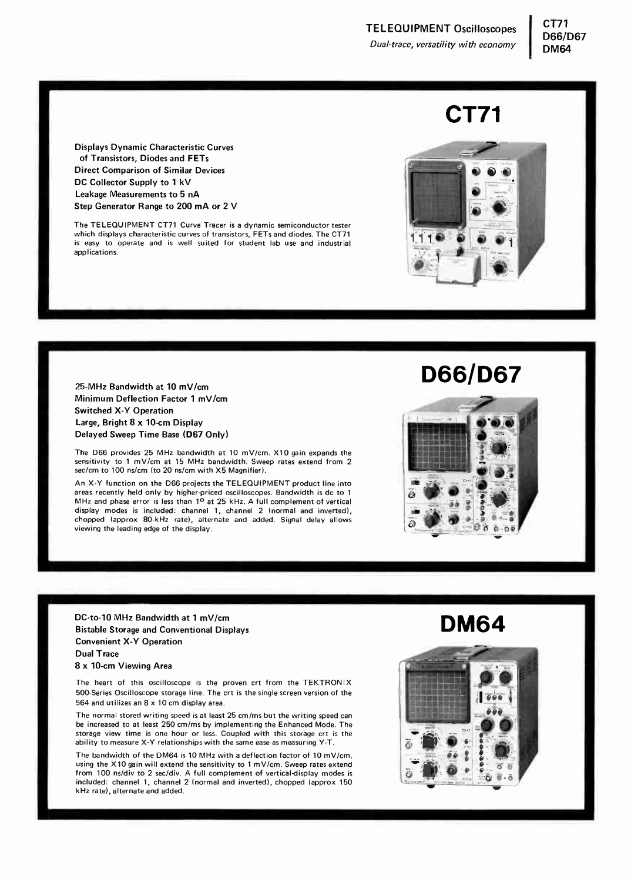## CT71

Displays Dynamic Characteristic Curves of Transistors, Diodes and FETs Direct Comparison of Similar Devices DC Collector Supply to 1 kV Leakage Measurements to 5 nA Step Generator Range to 200 mA or 2 V

The TELEQUIPMENT CT71 Curve Tracer is a dynamic semiconductor tester which displays characteristic curves of transistors, FETs and diodes. The CT71 is easy to operate and is well suited for student lab use and industrial applications.

25-MHz Bandwidth at 10 mV/cm Minimum Deflection Factor 1 mV/cm Switched X-Y Operation Large, Bright 8 x 10-cm Display Delayed Sweep Time Base (D67 Only)

The D66 provides 25 MHz bandwidth at 10 mV/cm. X10 gain expands the sensitivity to 1 mV/cm at 15 MHz bandwidth. Sweep rates extend from 2 sec/cm to 100 ns/cm (to 20 ns/cm with X5 Magnifier).

An X-Y function on the D66 projects the TELEQUIPMENT product line into areas recently held only by higher-priced oscilloscopes. Bandwidth is dc to 1 MHz and phase error is less than  $1^{\circ}$  at 25 kHz. A full complement of vertical display modes is included: channel 1, channel 2 (normal and inverted), chopped (approx 80-kHz rate), alternate and added. Signal delay allows viewing the leading edge of the display.

DC-to-10 MHz Bandwidth at 1 mV/cm Bistable Storage and Conventional Displays Convenient X-Y Operation Dual Trace

8 x 10-cm Viewing Area

The heart of this oscilloscope is the proven crt from the TEKTRONIX 500-Series Oscilloscope storage line. The crt is the single screen version of the 564 and utilizes an 8 x 10 cm display area.

The normal stored writing speed is at least 25 cm/ms but the writing speed can be increased to at least 250 cm/ms by implementing the Enhanced Mode. The storage view time is one hour or less. Coupled with this storage crt is the ability to measure X-Y relationships with the same ease as measuring Y-T.

The bandwidth of the DM64 is 10 MHz with a deflection factor of 10 mV/cm, using the X10 gain will extend the sensitivity to 1 mV/cm. Sweep rates extend from 100 ns/div to 2 sec/div. A full complement of vertical-display modes is included: channel 1, channel 2 (normal and inverted), chopped (approx 150 kHz rate), alternate and added.



D66/D67